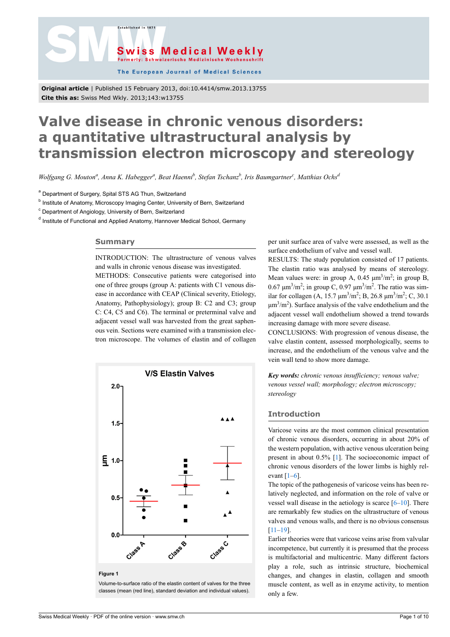



The European Journal of Medical Sciences

**Original article** | Published 15 February 2013, doi:10.4414/smw.2013.13755 **Cite this as:** Swiss Med Wkly. 2013;143:w13755

# **Valve disease in chronic venous disorders: a quantitative ultrastructural analysis by transmission electron microscopy and stereology**

*Wolfgang G. Mouton<sup>a</sup> , Anna K. Habegger<sup>a</sup> , Beat Haenni<sup>b</sup> , Stefan Tschanz<sup>b</sup> , Iris Baumgartner<sup>c</sup> , Matthias Ochs<sup>d</sup>*

<sup>a</sup> Department of Surgery, Spital STS AG Thun, Switzerland

<sup>b</sup> Institute of Anatomy, Microscopy Imaging Center, University of Bern, Switzerland

<sup>c</sup> Department of Angiology, University of Bern, Switzerland

<sup>d</sup> Institute of Functional and Applied Anatomy, Hannover Medical School, Germany

## **Summary**

INTRODUCTION: The ultrastructure of venous valves and walls in chronic venous disease was investigated. METHODS: Consecutive patients were categorised into

one of three groups (group A: patients with C1 venous disease in accordance with CEAP (Clinical severity, Etiology, Anatomy, Pathophysiology); group B: C2 and C3; group C: C4, C5 and C6). The terminal or preterminal valve and adjacent vessel wall was harvested from the great saphenous vein. Sections were examined with a transmission electron microscope. The volumes of elastin and of collagen



**Figure 1**

Volume-to-surface ratio of the elastin content of valves for the three classes (mean (red line), standard deviation and individual values).

per unit surface area of valve were assessed, as well as the surface endothelium of valve and vessel wall.

RESULTS: The study population consisted of 17 patients. The elastin ratio was analysed by means of stereology. Mean values were: in group A,  $0.45 \ \mu m^3/m^2$ ; in group B, 0.67 μm<sup>3</sup>/m<sup>2</sup>; in group C, 0.97 μm<sup>3</sup>/m<sup>2</sup>. The ratio was similar for collagen (A, 15.7  $\mu$ m<sup>3</sup>/m<sup>2</sup>; B, 26.8  $\mu$ m<sup>3</sup>/m<sup>2</sup>; C, 30.1  $\mu$ m<sup>3</sup>/m<sup>2</sup>). Surface analysis of the valve endothelium and the adjacent vessel wall endothelium showed a trend towards increasing damage with more severe disease.

CONCLUSIONS: With progression of venous disease, the valve elastin content, assessed morphologically, seems to increase, and the endothelium of the venous valve and the vein wall tend to show more damage.

*Key words: chronic venous insufficiency; venous valve; venous vessel wall; morphology; electron microscopy; stereology*

## **Introduction**

Varicose veins are the most common clinical presentation of chronic venous disorders, occurring in about 20% of the western population, with active venous ulceration being present in about 0.5% [\[1\]](#page-4-0). The socioeconomic impact of chronic venous disorders of the lower limbs is highly relevant  $[1-6]$  $[1-6]$ .

The topic of the pathogenesis of varicose veins has been relatively neglected, and information on the role of valve or vessel wall disease in the aetiology is scarce [\[6](#page-4-1)[–10](#page-4-2)]. There are remarkably few studies on the ultrastructure of venous valves and venous walls, and there is no obvious consensus [[11](#page-4-3)–[19\]](#page-5-0).

Earlier theories were that varicose veins arise from valvular incompetence, but currently it is presumed that the process is multifactorial and multicentric. Many different factors play a role, such as intrinsic structure, biochemical changes, and changes in elastin, collagen and smooth muscle content, as well as in enzyme activity, to mention only a few.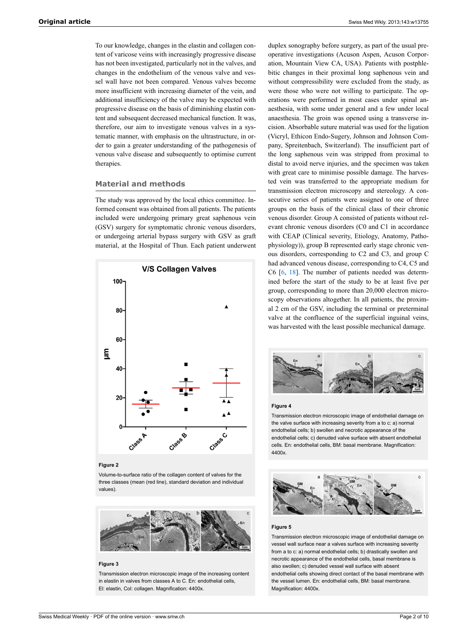To our knowledge, changes in the elastin and collagen content of varicose veins with increasingly progressive disease has not been investigated, particularly not in the valves, and changes in the endothelium of the venous valve and vessel wall have not been compared. Venous valves become more insufficient with increasing diameter of the vein, and additional insufficiency of the valve may be expected with progressive disease on the basis of diminishing elastin content and subsequent decreased mechanical function. It was, therefore, our aim to investigate venous valves in a systematic manner, with emphasis on the ultrastructure, in order to gain a greater understanding of the pathogenesis of venous valve disease and subsequently to optimise current therapies.

## **Material and methods**

The study was approved by the local ethics committee. Informed consent was obtained from all patients. The patients included were undergoing primary great saphenous vein (GSV) surgery for symptomatic chronic venous disorders, or undergoing arterial bypass surgery with GSV as graft material, at the Hospital of Thun. Each patient underwent



#### **Figure 2**

Volume-to-surface ratio of the collagen content of valves for the three classes (mean (red line), standard deviation and individual values).



#### **Figure 3**

Transmission electron microscopic image of the increasing content in elastin in valves from classes A to C. En: endothelial cells, El: elastin, Col: collagen. Magnification: 4400x.

duplex sonography before surgery, as part of the usual preoperative investigations (Acuson Aspen, Acuson Corporation, Mountain View CA, USA). Patients with postphlebitic changes in their proximal long saphenous vein and without compressibility were excluded from the study, as were those who were not willing to participate. The operations were performed in most cases under spinal anaesthesia, with some under general and a few under local anaesthesia. The groin was opened using a transverse incision. Absorbable suture material was used for the ligation (Vicryl, Ethicon Endo-Sugery, Johnson and Johnson Company, Spreitenbach, Switzerland). The insufficient part of the long saphenous vein was stripped from proximal to distal to avoid nerve injuries, and the specimen was taken with great care to minimise possible damage. The harvested vein was transferred to the appropriate medium for transmission electron microscopy and stereology. A consecutive series of patients were assigned to one of three groups on the basis of the clinical class of their chronic venous disorder. Group A consisted of patients without relevant chronic venous disorders (C0 and C1 in accordance with CEAP (Clinical severity, Etiology, Anatomy, Pathophysiology)), group B represented early stage chronic venous disorders, corresponding to C2 and C3, and group C had advanced venous disease, corresponding to C4, C5 and C6 [[6](#page-4-1), [18](#page-5-1)]. The number of patients needed was determined before the start of the study to be at least five per group, corresponding to more than 20,000 electron microscopy observations altogether. In all patients, the proximal 2 cm of the GSV, including the terminal or preterminal valve at the confluence of the superficial inguinal veins, was harvested with the least possible mechanical damage.



#### **Figure 4**

Transmission electron microscopic image of endothelial damage on the valve surface with increasing severity from a to c: a) normal endothelial cells; b) swollen and necrotic appearance of the endothelial cells; c) denuded valve surface with absent endothelial cells. En: endothelial cells, BM: basal membrane. Magnification: 4400x.



#### **Figure 5**

Transmission electron microscopic image of endothelial damage on vessel wall surface near a valves surface with increasing severity from a to c: a) normal endothelial cells; b) drastically swollen and necrotic appearance of the endothelial cells, basal membrane is also swollen; c) denuded vessel wall surface with absent endothelial cells showing direct contact of the basal membrane with the vessel lumen. En: endothelial cells, BM: basal membrane. Magnification: 4400x.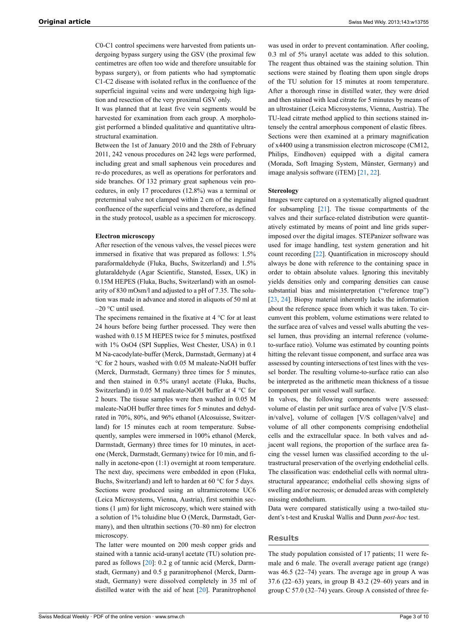C0-C1 control specimens were harvested from patients undergoing bypass surgery using the GSV (the proximal few centimetres are often too wide and therefore unsuitable for bypass surgery), or from patients who had symptomatic C1-C2 disease with isolated reflux in the confluence of the superficial inguinal veins and were undergoing high ligation and resection of the very proximal GSV only.

It was planned that at least five vein segments would be harvested for examination from each group. A morphologist performed a blinded qualitative and quantitative ultrastructural examination.

Between the 1st of January 2010 and the 28th of February 2011, 242 venous procedures on 242 legs were performed, including great and small saphenous vein procedures and re-do procedures, as well as operations for perforators and side branches. Of 132 primary great saphenous vein procedures, in only 17 procedures (12.8%) was a terminal or preterminal valve not clamped within 2 cm of the inguinal confluence of the superficial veins and therefore, as defined in the study protocol, usable as a specimen for microscopy.

## **Electron microscopy**

After resection of the venous valves, the vessel pieces were immersed in fixative that was prepared as follows: 1.5% paraformaldehyde (Fluka, Buchs, Switzerland) and 1.5% glutaraldehyde (Agar Scientific, Stansted, Essex, UK) in 0.15M HEPES (Fluka, Buchs, Switzerland) with an osmolarity of 830 mOsm/l and adjusted to a pH of 7.35. The solution was made in advance and stored in aliquots of 50 ml at –20 °C until used.

The specimens remained in the fixative at 4 °C for at least 24 hours before being further processed. They were then washed with 0.15 M HEPES twice for 5 minutes, postfixed with 1% OsO4 (SPI Supplies, West Chester, USA) in 0.1 M Na-cacodylate-buffer (Merck, Darmstadt, Germany) at 4 °C for 2 hours, washed with 0.05 M maleate-NaOH buffer (Merck, Darmstadt, Germany) three times for 5 minutes, and then stained in 0.5% uranyl acetate (Fluka, Buchs, Switzerland) in 0.05 M maleate-NaOH buffer at 4 °C for 2 hours. The tissue samples were then washed in 0.05 M maleate-NaOH buffer three times for 5 minutes and dehydrated in 70%, 80%, and 96% ethanol (Alcosuisse, Switzerland) for 15 minutes each at room temperature. Subsequently, samples were immersed in 100% ethanol (Merck, Darmstadt, Germany) three times for 10 minutes, in acetone (Merck, Darmstadt, Germany) twice for 10 min, and finally in acetone-epon (1:1) overnight at room temperature. The next day, specimens were embedded in epon (Fluka, Buchs, Switzerland) and left to harden at 60 °C for 5 days. Sections were produced using an ultramicrotome UC6 (Leica Microsystems, Vienna, Austria), first semithin sections (1 µm) for light microscopy, which were stained with a solution of 1% toluidine blue O (Merck, Darmstadt, Germany), and then ultrathin sections (70–80 nm) for electron microscopy.

The latter were mounted on 200 mesh copper grids and stained with a tannic acid-uranyl acetate (TU) solution prepared as follows [[20\]](#page-5-2): 0.2 g of tannic acid (Merck, Darmstadt, Germany) and 0.5 g paranitrophenol (Merck, Darmstadt, Germany) were dissolved completely in 35 ml of distilled water with the aid of heat [\[20](#page-5-2)]. Paranitrophenol

was used in order to prevent contamination. After cooling, 0.3 ml of 5% uranyl acetate was added to this solution. The reagent thus obtained was the staining solution. Thin sections were stained by floating them upon single drops of the TU solution for 15 minutes at room temperature. After a thorough rinse in distilled water, they were dried and then stained with lead citrate for 5 minutes by means of an ultrostainer (Leica Microsystems, Vienna, Austria). The TU-lead citrate method applied to thin sections stained intensely the central amorphous component of elastic fibres. Sections were then examined at a primary magnification of x4400 using a transmission electron microscope (CM12, Philips, Eindhoven) equipped with a digital camera (Morada, Soft Imaging System, Münster, Germany) and image analysis software (iTEM) [[21](#page-5-3), [22\]](#page-5-4).

#### **Stereology**

Images were captured on a systematically aligned quadrant for subsampling [[21\]](#page-5-3). The tissue compartments of the valves and their surface-related distribution were quantitatively estimated by means of point and line grids superimposed over the digital images. STEPanizer software was used for image handling, test system generation and hit count recording [\[22](#page-5-4)]. Quantification in microscopy should always be done with reference to the containing space in order to obtain absolute values. Ignoring this inevitably yields densities only and comparing densities can cause substantial bias and misinterpretation ("reference trap") [[23,](#page-5-5) [24\]](#page-5-6). Biopsy material inherently lacks the information about the reference space from which it was taken. To circumvent this problem, volume estimations were related to the surface area of valves and vessel walls abutting the vessel lumen, thus providing an internal reference (volumeto-surface ratio). Volume was estimated by counting points hitting the relevant tissue component, and surface area was assessed by counting intersections of test lines with the vessel border. The resulting volume-to-surface ratio can also be interpreted as the arithmetic mean thickness of a tissue component per unit vessel wall surface.

In valves, the following components were assessed: volume of elastin per unit surface area of valve [V/S elastin/valve], volume of collagen [V/S collagen/valve] and volume of all other components comprising endothelial cells and the extracellular space. In both valves and adjacent wall regions, the proportion of the surface area facing the vessel lumen was classified according to the ultrastructural preservation of the overlying endothelial cells. The classification was: endothelial cells with normal ultrastructural appearance; endothelial cells showing signs of swelling and/or necrosis; or denuded areas with completely missing endothelium.

Data were compared statistically using a two-tailed student's t-test and Kruskal Wallis and Dunn *post-hoc* test.

## **Results**

The study population consisted of 17 patients; 11 were female and 6 male. The overall average patient age (range) was 46.5 (22–74) years. The average age in group A was 37.6 (22–63) years, in group B 43.2 (29–60) years and in group C 57.0 (32–74) years. Group A consisted of three fe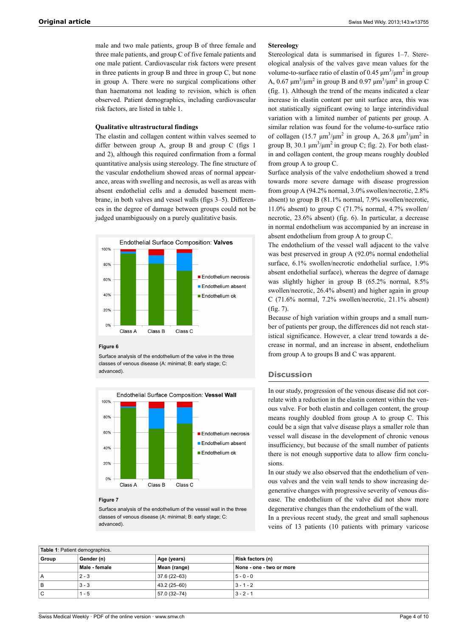male and two male patients, group B of three female and three male patients, and group C of five female patients and one male patient. Cardiovascular risk factors were present in three patients in group B and three in group C, but none in group A. There were no surgical complications other than haematoma not leading to revision, which is often observed. Patient demographics, including cardiovascular risk factors, are listed in table 1.

## **Qualitative ultrastructural findings**

The elastin and collagen content within valves seemed to differ between group A, group B and group C (figs 1 and 2), although this required confirmation from a formal quantitative analysis using stereology. The fine structure of the vascular endothelium showed areas of normal appearance, areas with swelling and necrosis, as well as areas with absent endothelial cells and a denuded basement membrane, in both valves and vessel walls (figs 3–5). Differences in the degree of damage between groups could not be judged unambiguously on a purely qualitative basis.



#### **Figure 6**

Surface analysis of the endothelium of the valve in the three classes of venous disease (A: minimal; B: early stage; C: advanced).



## **Figure 7**

Surface analysis of the endothelium of the vessel wall in the three classes of venous disease (A: minimal; B: early stage; C: advanced).

#### **Stereology**

Stereological data is summarised in figures 1–7. Stereological analysis of the valves gave mean values for the volume-to-surface ratio of elastin of 0.45  $\mu$ m<sup>3</sup>/ $\mu$ m<sup>2</sup> in group A, 0.67  $\mu$ m<sup>3</sup>/ $\mu$ m<sup>2</sup> in group B and 0.97  $\mu$ m<sup>3</sup>/ $\mu$ m<sup>2</sup> in group C (fig. 1). Although the trend of the means indicated a clear increase in elastin content per unit surface area, this was not statistically significant owing to large interindividual variation with a limited number of patients per group. A similar relation was found for the volume-to-surface ratio of collagen  $(15.7 \text{ }\mu\text{m}^3/\text{ }\mu\text{m}^2)$  in group A, 26.8  $\mu\text{m}^3/\text{ }\mu\text{m}^2$  in group B, 30.1  $\mu$ m<sup>3</sup>/ $\mu$ m<sup>2</sup> in group C; fig. 2). For both elastin and collagen content, the group means roughly doubled from group A to group C.

Surface analysis of the valve endothelium showed a trend towards more severe damage with disease progression from group A (94.2% normal, 3.0% swollen/necrotic, 2.8% absent) to group B (81.1% normal, 7.9% swollen/necrotic, 11.0% absent) to group C (71.7% normal, 4.7% swollen/ necrotic, 23.6% absent) (fig. 6). In particular, a decrease in normal endothelium was accompanied by an increase in absent endothelium from group A to group C.

The endothelium of the vessel wall adjacent to the valve was best preserved in group A (92.0% normal endothelial surface,  $6.1\%$  swollen/necrotic endothelial surface,  $1.9\%$ absent endothelial surface), whereas the degree of damage was slightly higher in group B (65.2% normal, 8.5% swollen/necrotic, 26.4% absent) and higher again in group C  $(71.6\%$  normal,  $7.2\%$  swollen/necrotic,  $21.1\%$  absent) (fig. 7).

Because of high variation within groups and a small number of patients per group, the differences did not reach statistical significance. However, a clear trend towards a decrease in normal, and an increase in absent, endothelium from group A to groups B and C was apparent.

## **Discussion**

In our study, progression of the venous disease did not correlate with a reduction in the elastin content within the venous valve. For both elastin and collagen content, the group means roughly doubled from group A to group C. This could be a sign that valve disease plays a smaller role than vessel wall disease in the development of chronic venous insufficiency, but because of the small number of patients there is not enough supportive data to allow firm conclusions.

In our study we also observed that the endothelium of venous valves and the vein wall tends to show increasing degenerative changes with progressive severity of venous disease. The endothelium of the valve did not show more degenerative changes than the endothelium of the wall.

In a previous recent study, the great and small saphenous veins of 13 patients (10 patients with primary varicose

| Table 1: Patient demographics. |               |              |                          |
|--------------------------------|---------------|--------------|--------------------------|
| Group                          | Gender (n)    | Age (years)  | Risk factors (n)         |
|                                | Male - female | Mean (range) | None - one - two or more |
| A                              | $2 - 3$       | 37.6 (22-63) | $5 - 0 - 0$              |
| B                              | $3 - 3$       | 43.2 (25-60) | $3 - 1 - 2$              |
| С                              | 1 - 5         | 57.0 (32-74) | $3 - 2 - 1$              |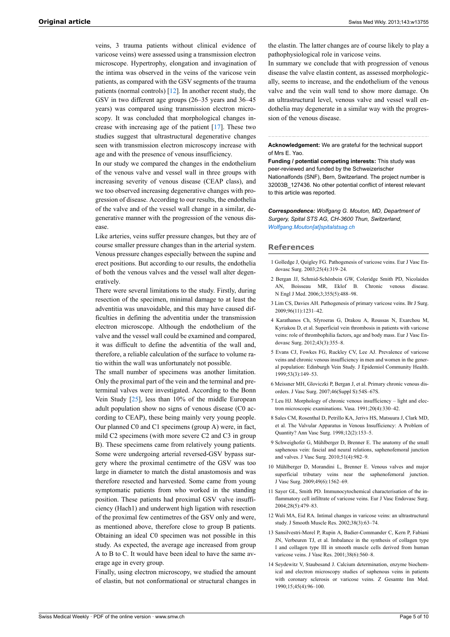veins, 3 trauma patients without clinical evidence of varicose veins) were assessed using a transmission electron microscope. Hypertrophy, elongation and invagination of the intima was observed in the veins of the varicose vein patients, as compared with the GSV segments of the trauma patients (normal controls) [\[12](#page-4-4)]. In another recent study, the GSV in two different age groups (26–35 years and 36–45 years) was compared using transmission electron microscopy. It was concluded that morphological changes increase with increasing age of the patient [[17\]](#page-5-7). These two studies suggest that ultrastructural degenerative changes seen with transmission electron microscopy increase with age and with the presence of venous insufficiency.

In our study we compared the changes in the endothelium of the venous valve and vessel wall in three groups with increasing severity of venous disease (CEAP class), and we too observed increasing degenerative changes with progression of disease. According to our results, the endothelia of the valve and of the vessel wall change in a similar, degenerative manner with the progression of the venous disease.

<span id="page-4-0"></span>Like arteries, veins suffer pressure changes, but they are of course smaller pressure changes than in the arterial system. Venous pressure changes especially between the supine and erect positions. But according to our results, the endothelia of both the venous valves and the vessel wall alter degeneratively.

There were several limitations to the study. Firstly, during resection of the specimen, minimal damage to at least the adventitia was unavoidable, and this may have caused difficulties in defining the adventitia under the transmission electron microscope. Although the endothelium of the valve and the vessel wall could be examined and compared, it was difficult to define the adventitia of the wall and, therefore, a reliable calculation of the surface to volume ratio within the wall was unfortunately not possible.

<span id="page-4-2"></span><span id="page-4-1"></span>The small number of specimens was another limitation. Only the proximal part of the vein and the terminal and preterminal valves were investigated. According to the Bonn Vein Study [\[25](#page-5-8)], less than 10% of the middle European adult population show no signs of venous disease (C0 according to CEAP), these being mainly very young people. Our planned C0 and C1 specimens (group A) were, in fact, mild C2 specimens (with more severe C2 and C3 in group B). These specimens came from relatively young patients. Some were undergoing arterial reversed-GSV bypass surgery where the proximal centimetre of the GSV was too large in diameter to match the distal anastomosis and was therefore resected and harvested. Some came from young symptomatic patients from who worked in the standing position. These patients had proximal GSV valve insufficiency (Hach1) and underwent high ligation with resection of the proximal few centimetres of the GSV only and were, as mentioned above, therefore close to group B patients. Obtaining an ideal C0 specimen was not possible in this study. As expected, the average age increased from group A to B to C. It would have been ideal to have the same average age in every group.

<span id="page-4-4"></span><span id="page-4-3"></span>Finally, using electron microscopy, we studied the amount of elastin, but not conformational or structural changes in the elastin. The latter changes are of course likely to play a pathophysiological role in varicose veins.

In summary we conclude that with progression of venous disease the valve elastin content, as assessed morphologically, seems to increase, and the endothelium of the venous valve and the vein wall tend to show more damage. On an ultrastructural level, venous valve and vessel wall endothelia may degenerate in a similar way with the progression of the venous disease.

#### **Acknowledgement:** We are grateful for the technical support of Mrs E. Yao.

**Funding / potential competing interests:** This study was peer-reviewed and funded by the Schweizerischer Nationalfonds (SNF), Bern, Switzerland. The project number is 32003B\_127436. No other potential conflict of interest relevant to this article was reported.

*Correspondence: Wolfgang G. Mouton, MD, Department of Surgery, Spital STS AG, CH-3600 Thun, Switzerland, [Wolfgang.Mouton\[at\]spitalstsag.ch](mailto:Wolfgang.Mouton@spitalstsag.ch)*

## **References**

- 1 Golledge J, Quigley FG. Pathogenesis of varicose veins. Eur J Vasc Endovasc Surg. 2003;25(4):319–24.
- 2 Bergan JJ, Schmid-Schönbein GW, Coleridge Smith PD, Nicolaides AN, Boisseau MR, Eklof B. Chronic venous disease. N Engl J Med. 2006;3;355(5):488–98.
- 3 Lim CS, Davies AH. Pathogenesis of primary varicose veins. Br J Surg. 2009;96(11):1231–42.
- 4 Karathanos Ch, Sfyroeras G, Drakou A, Roussas N, Exarchou M, Kyriakou D, et al. Superficial vein thrombosis in patients with varicose veins: role of thrombophilia factors, age and body mass. Eur J Vasc Endovasc Surg. 2012;43(3):355–8.
- 5 Evans CJ, Fowkes FG, Ruckley CV, Lee AJ. Prevalence of varicose veins and chronic venous insufficiency in men and women in the general population: Edinburgh Vein Study. J Epidemiol Community Health. 1999;53(3):149–53.
- 6 Meissner MH, Gloviczki P, Bergan J, et al. Primary chronic venous disorders. J Vasc Surg. 2007;46(Suppl S):54S–67S.
- 7 Leu HJ. Morphology of chronic venous insufficiency light and electron microscopic examinations. Vasa. 1991;20(4):330–42.
- 8 Sales CM, Rosenthal D, Petrillo KA, Jerivs HS, Matsuura J, Clark MD, et al. The Valvular Apparatus in Venous Insufficiency: A Problem of Quantity? Ann Vasc Surg. 1998;12(2):153–5.
- 9 Schweighofer G, Mühlberger D, Brenner E. The anatomy of the small saphenous vein: fascial and neural relations, saphenofemoral junction and valves. J Vasc Surg. 2010;51(4):982–9.
- 10 Mühlberger D, Morandini L, Brenner E. Venous valves and major superficial tributary veins near the saphenofemoral junction. J Vasc Surg. 2009;49(6):1562–69.
- 11 Sayer GL, Smith PD. Immunocytochemical characterisation of the inflammatory cell infiltrate of varicose veins. Eur J Vasc Endovasc Surg. 2004;28(5):479–83.
- 12 Wali MA, Eid RA. Intimal changes in varicose veins: an ultrastructural study. J Smooth Muscle Res. 2002;38(3):63–74.
- 13 Sansilvestri-Morel P, Rupin A, Badier-Commander C, Kern P, Fabiani JN, Verbeuren TJ, et al. Imbalance in the synthesis of collagen type I and collagen type III in smooth muscle cells derived from human varicose veins. J Vasc Res. 2001;38(6):560-8.
- 14 Seydewitz V, Staubesand J. Calcium determination, enzyme biochemical and electron microscopy studies of saphenous veins in patients with coronary sclerosis or varicose veins. Z Gesamte Inn Med. 1990;15;45(4):96–100.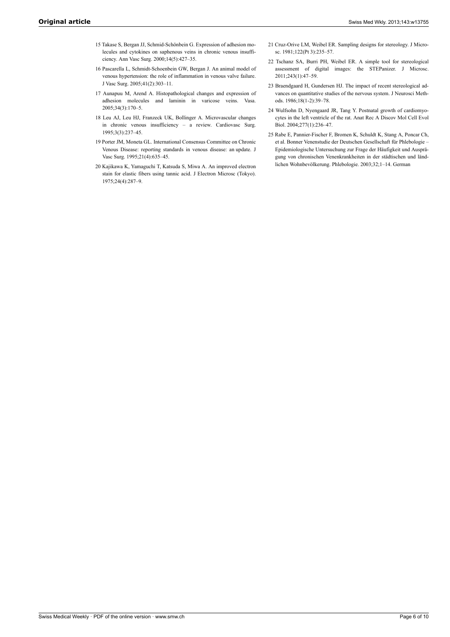- <span id="page-5-3"></span>15 Takase S, Bergan JJ, Schmid-Schönbein G. Expression of adhesion molecules and cytokines on saphenous veins in chronic venous insufficiency. Ann Vasc Surg. 2000;14(5):427–35.
- <span id="page-5-4"></span>16 Pascarella L, Schmidt-Schoenbein GW, Bergan J. An animal model of venous hypertension: the role of inflammation in venous valve failure. J Vasc Surg. 2005;41(2):303–11.
- <span id="page-5-7"></span><span id="page-5-5"></span>17 Aunapuu M, Arend A. Histopathological changes and expression of adhesion molecules and laminin in varicose veins. Vasa. 2005;34(3):170–5.
- <span id="page-5-6"></span><span id="page-5-1"></span>18 Leu AJ, Leu HJ, Franzeck UK, Bollinger A. Microvascular changes in chronic venous insufficiency – a review. Cardiovasc Surg. 1995;3(3):237–45.
- <span id="page-5-8"></span><span id="page-5-0"></span>19 Porter JM, Moneta GL. International Consensus Committee on Chronic Venous Disease: reporting standards in venous disease: an update. J Vasc Surg. 1995;21(4):635–45.
- <span id="page-5-2"></span>20 Kajikawa K, Yamaguchi T, Katsuda S, Miwa A. An improved electron stain for elastic fibers using tannic acid. J Electron Microsc (Tokyo). 1975;24(4):287–9.
- 21 Cruz-Orive LM, Weibel ER. Sampling designs for stereology. J Microsc. 1981;122(Pt 3):235–57.
- 22 Tschanz SA, Burri PH, Weibel ER. A simple tool for stereological assessment of digital images: the STEPanizer. J Microsc. 2011;243(1):47–59.
- 23 Braendgaard H, Gundersen HJ. The impact of recent stereological advances on quantitative studies of the nervous system. J Neurosci Methods. 1986;18(1-2):39–78.
- 24 Wulfsohn D, Nyengaard JR, Tang Y. Postnatal growth of cardiomyocytes in the left ventricle of the rat. Anat Rec A Discov Mol Cell Evol Biol. 2004;277(1):236–47.
- 25 Rabe E, Pannier-Fischer F, Bromen K, Schuldt K, Stang A, Poncar Ch, et al. Bonner Venenstudie der Deutschen Gesellschaft für Phlebologie – Epidemiologische Untersuchung zur Frage der Häufigkeit und Ausprägung von chronischen Venenkrankheiten in der städtischen und ländlichen Wohnbevölkerung. Phlebologie. 2003;32;1–14. German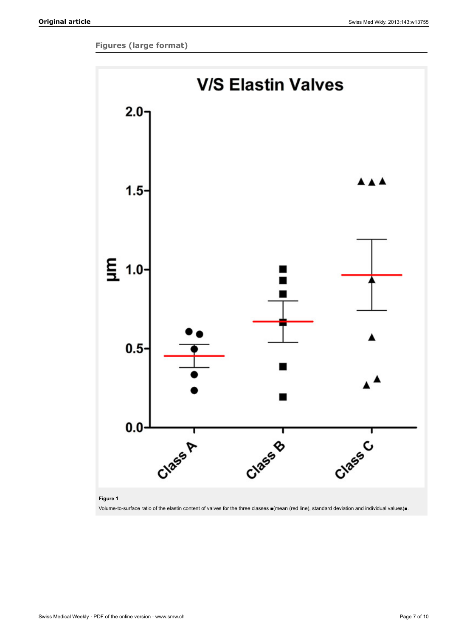## **Figures (large format)**



## **Figure 1**

Volume-to-surface ratio of the elastin content of valves for the three classes ■(mean (red line), standard deviation and individual values)■.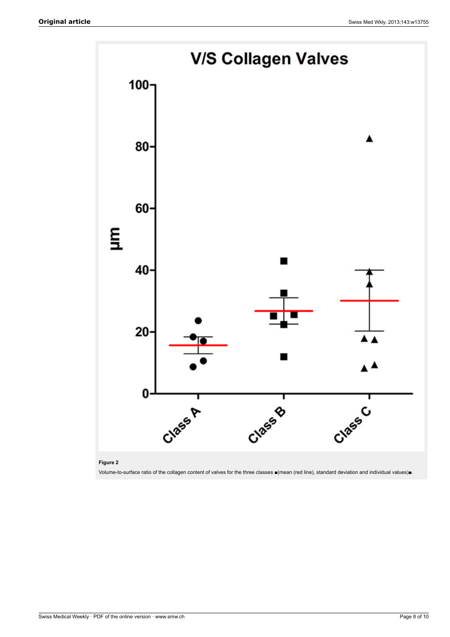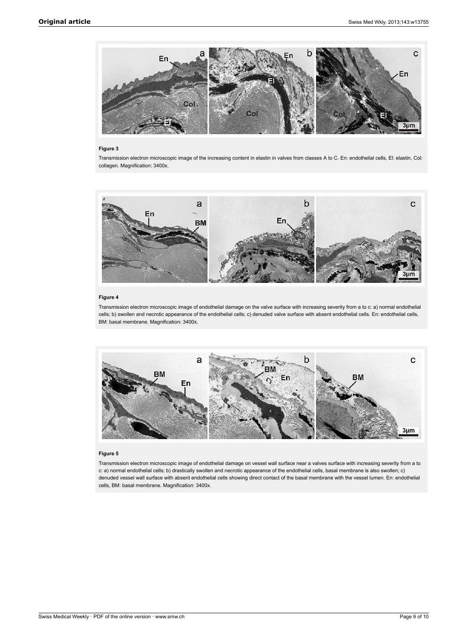

#### **Figure 3**

Transmission electron microscopic image of the increasing content in elastin in valves from classes A to C. En: endothelial cells, El: elastin, Col: collagen. Magnification: 3400x.



## **Figure 4**

Transmission electron microscopic image of endothelial damage on the valve surface with increasing severity from a to c: a) normal endothelial cells; b) swollen and necrotic appearance of the endothelial cells; c) denuded valve surface with absent endothelial cells. En: endothelial cells, BM: basal membrane. Magnification: 3400x.



#### **Figure 5**

Transmission electron microscopic image of endothelial damage on vessel wall surface near a valves surface with increasing severity from a to c: a) normal endothelial cells; b) drastically swollen and necrotic appearance of the endothelial cells, basal membrane is also swollen; c) denuded vessel wall surface with absent endothelial cells showing direct contact of the basal membrane with the vessel lumen. En: endothelial cells, BM: basal membrane. Magnification: 3400x.